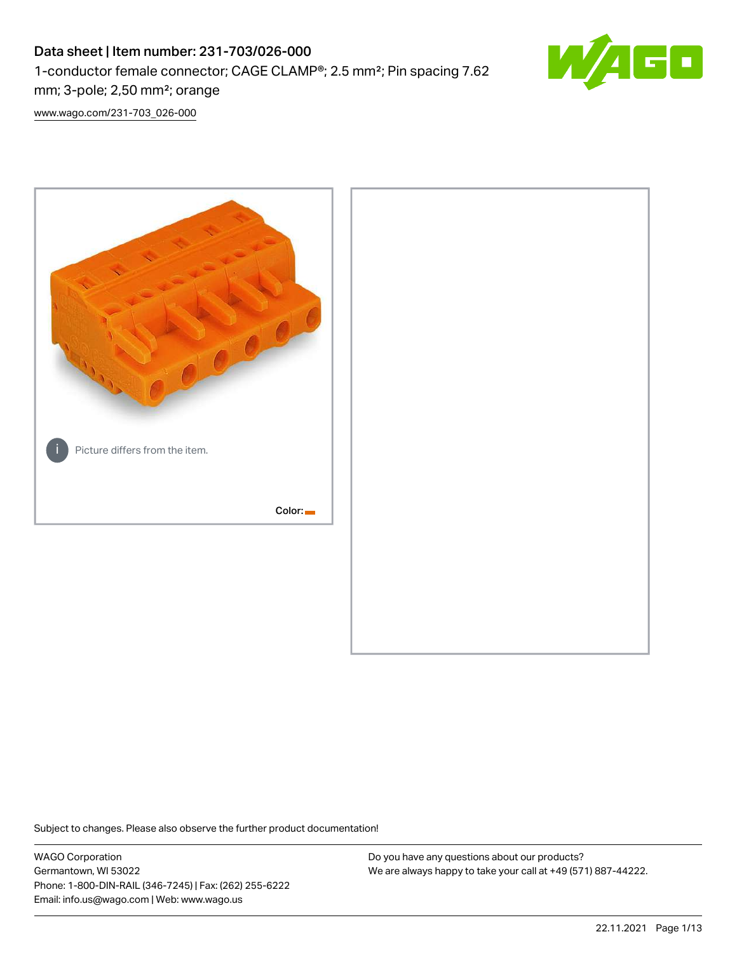## Data sheet | Item number: 231-703/026-000 1-conductor female connector; CAGE CLAMP®; 2.5 mm²; Pin spacing 7.62 mm; 3-pole; 2,50 mm²; orange



[www.wago.com/231-703\\_026-000](http://www.wago.com/231-703_026-000)



Subject to changes. Please also observe the further product documentation!

WAGO Corporation Germantown, WI 53022 Phone: 1-800-DIN-RAIL (346-7245) | Fax: (262) 255-6222 Email: info.us@wago.com | Web: www.wago.us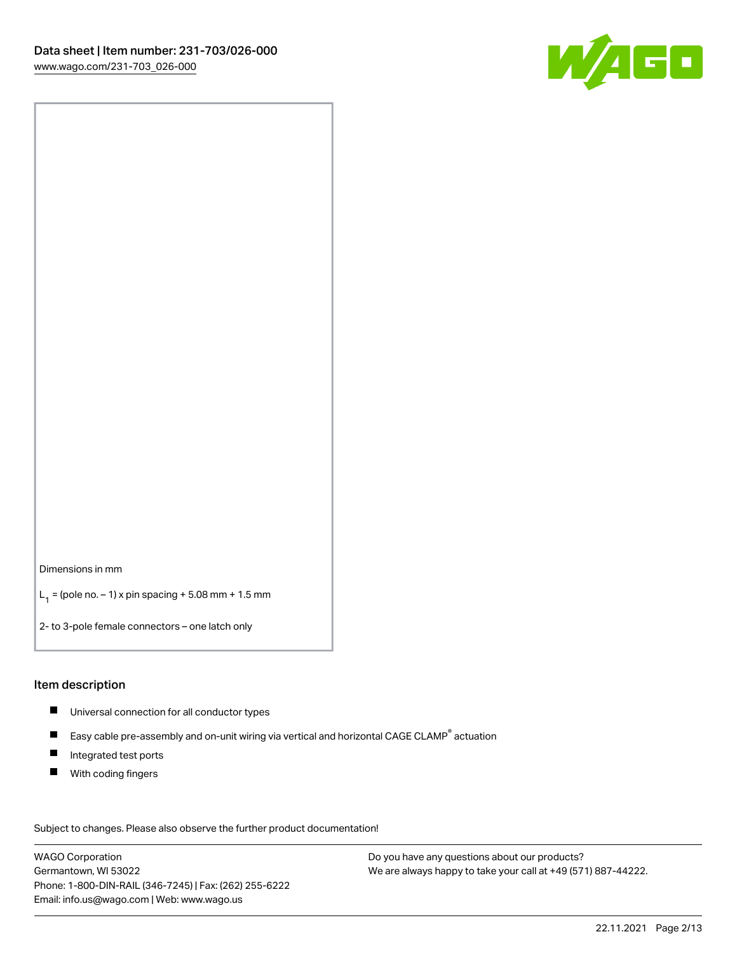

Dimensions in mm

 $L_1 =$  (pole no.  $-1$ ) x pin spacing + 5.08 mm + 1.5 mm

2- to 3-pole female connectors – one latch only

#### Item description

- Universal connection for all conductor types
- $\blacksquare$ Easy cable pre-assembly and on-unit wiring via vertical and horizontal CAGE CLAMP<sup>®</sup> actuation
- $\blacksquare$ Integrated test ports
- $\blacksquare$ With coding fingers

Subject to changes. Please also observe the further product documentation! Data

WAGO Corporation Germantown, WI 53022 Phone: 1-800-DIN-RAIL (346-7245) | Fax: (262) 255-6222 Email: info.us@wago.com | Web: www.wago.us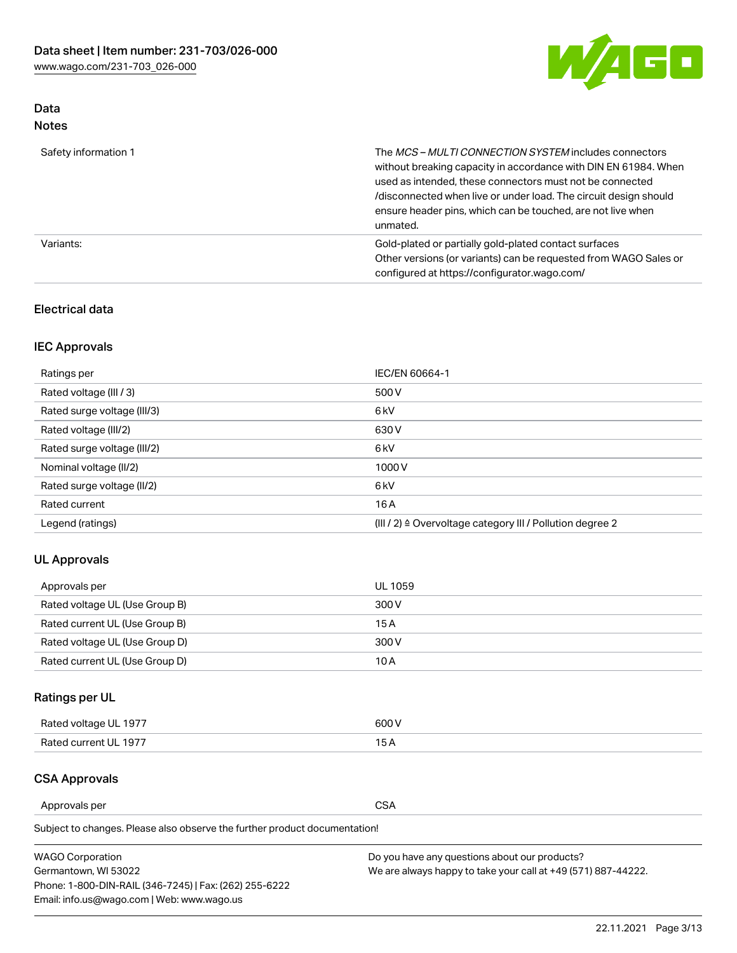

#### Data Notes

| Safety information 1 | The <i>MCS – MULTI CONNECTION SYSTEM</i> includes connectors<br>without breaking capacity in accordance with DIN EN 61984. When<br>used as intended, these connectors must not be connected<br>/disconnected when live or under load. The circuit design should<br>ensure header pins, which can be touched, are not live when<br>unmated. |
|----------------------|--------------------------------------------------------------------------------------------------------------------------------------------------------------------------------------------------------------------------------------------------------------------------------------------------------------------------------------------|
| Variants:            | Gold-plated or partially gold-plated contact surfaces<br>Other versions (or variants) can be requested from WAGO Sales or<br>configured at https://configurator.wago.com/                                                                                                                                                                  |

#### Electrical data

#### IEC Approvals

| Ratings per                 | IEC/EN 60664-1                                                        |
|-----------------------------|-----------------------------------------------------------------------|
| Rated voltage (III / 3)     | 500 V                                                                 |
| Rated surge voltage (III/3) | 6 <sub>kV</sub>                                                       |
| Rated voltage (III/2)       | 630 V                                                                 |
| Rated surge voltage (III/2) | 6 <sub>k</sub> V                                                      |
| Nominal voltage (II/2)      | 1000V                                                                 |
| Rated surge voltage (II/2)  | 6 <sub>kV</sub>                                                       |
| Rated current               | 16A                                                                   |
| Legend (ratings)            | $(III / 2)$ $\triangle$ Overvoltage category III / Pollution degree 2 |

#### UL Approvals

| Approvals per                  | UL 1059 |
|--------------------------------|---------|
| Rated voltage UL (Use Group B) | 300 V   |
| Rated current UL (Use Group B) | 15 A    |
| Rated voltage UL (Use Group D) | 300 V   |
| Rated current UL (Use Group D) | 10 A    |

### Ratings per UL

| Rated voltage UL 1977 | 300 V |
|-----------------------|-------|
| Rated current UL 1977 |       |

#### CSA Approvals

Approvals per CSA

Subject to changes. Please also observe the further product documentation!

| <b>WAGO Corporation</b>                                | Do you have any questions about our products?                 |
|--------------------------------------------------------|---------------------------------------------------------------|
| Germantown, WI 53022                                   | We are always happy to take your call at +49 (571) 887-44222. |
| Phone: 1-800-DIN-RAIL (346-7245)   Fax: (262) 255-6222 |                                                               |
| Email: info.us@wago.com   Web: www.wago.us             |                                                               |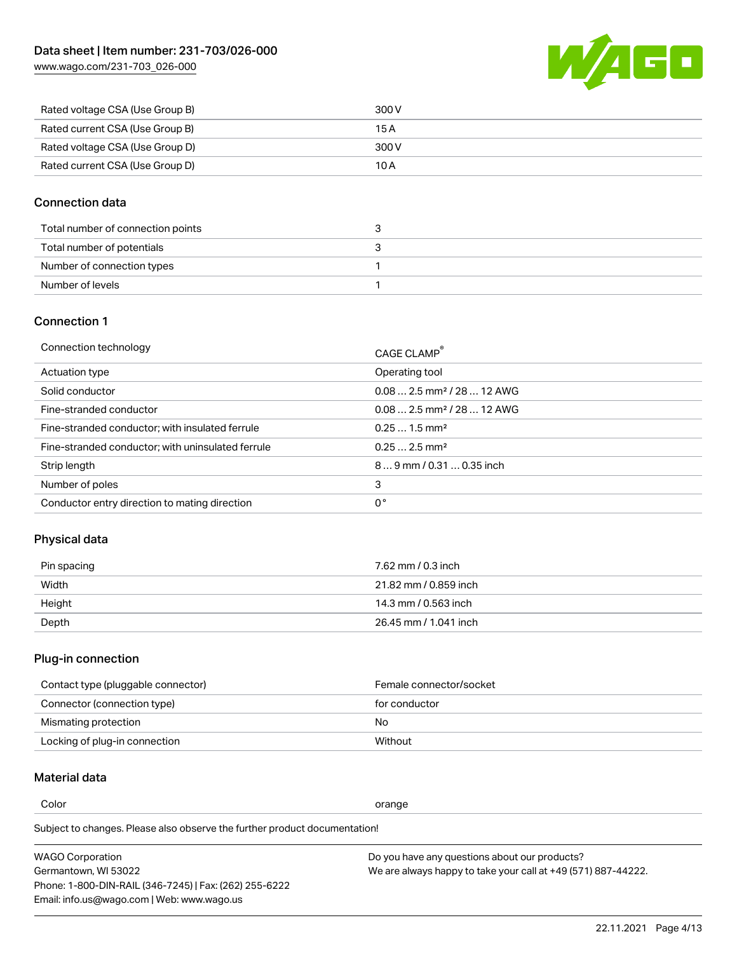[www.wago.com/231-703\\_026-000](http://www.wago.com/231-703_026-000)



| Rated voltage CSA (Use Group B) | 300 V |
|---------------------------------|-------|
| Rated current CSA (Use Group B) | 15 A  |
| Rated voltage CSA (Use Group D) | 300 V |
| Rated current CSA (Use Group D) | 10 A  |

#### Connection data

| Total number of connection points |  |
|-----------------------------------|--|
| Total number of potentials        |  |
| Number of connection types        |  |
| Number of levels                  |  |

#### Connection 1

| Connection technology                             | CAGE CLAMP <sup>®</sup>                 |
|---------------------------------------------------|-----------------------------------------|
| Actuation type                                    | Operating tool                          |
| Solid conductor                                   | $0.082.5$ mm <sup>2</sup> / 28  12 AWG  |
| Fine-stranded conductor                           | $0.08$ 2.5 mm <sup>2</sup> / 28  12 AWG |
| Fine-stranded conductor; with insulated ferrule   | $0.251.5$ mm <sup>2</sup>               |
| Fine-stranded conductor; with uninsulated ferrule | $0.252.5$ mm <sup>2</sup>               |
| Strip length                                      | $89$ mm $/ 0.310.35$ inch               |
| Number of poles                                   | 3                                       |
| Conductor entry direction to mating direction     | 0°                                      |

#### Physical data

| Pin spacing | 7.62 mm / 0.3 inch    |
|-------------|-----------------------|
| Width       | 21.82 mm / 0.859 inch |
| Height      | 14.3 mm / 0.563 inch  |
| Depth       | 26.45 mm / 1.041 inch |

### Plug-in connection

| Contact type (pluggable connector) | Female connector/socket |
|------------------------------------|-------------------------|
| Connector (connection type)        | for conductor           |
| Mismating protection               | No.                     |
| Locking of plug-in connection      | Without                 |

#### Material data

Color contracts and contracts of the contracts of the contracts of the contracts of the contracts of the contracts of the contracts of the contracts of the contracts of the contracts of the contracts of the contracts of th

Subject to changes. Please also observe the further product documentation! Material group I

| <b>WAGO Corporation</b>                                | Do you have any questions about our products?                 |
|--------------------------------------------------------|---------------------------------------------------------------|
| Germantown, WI 53022                                   | We are always happy to take your call at +49 (571) 887-44222. |
| Phone: 1-800-DIN-RAIL (346-7245)   Fax: (262) 255-6222 |                                                               |
| Email: info.us@wago.com   Web: www.wago.us             |                                                               |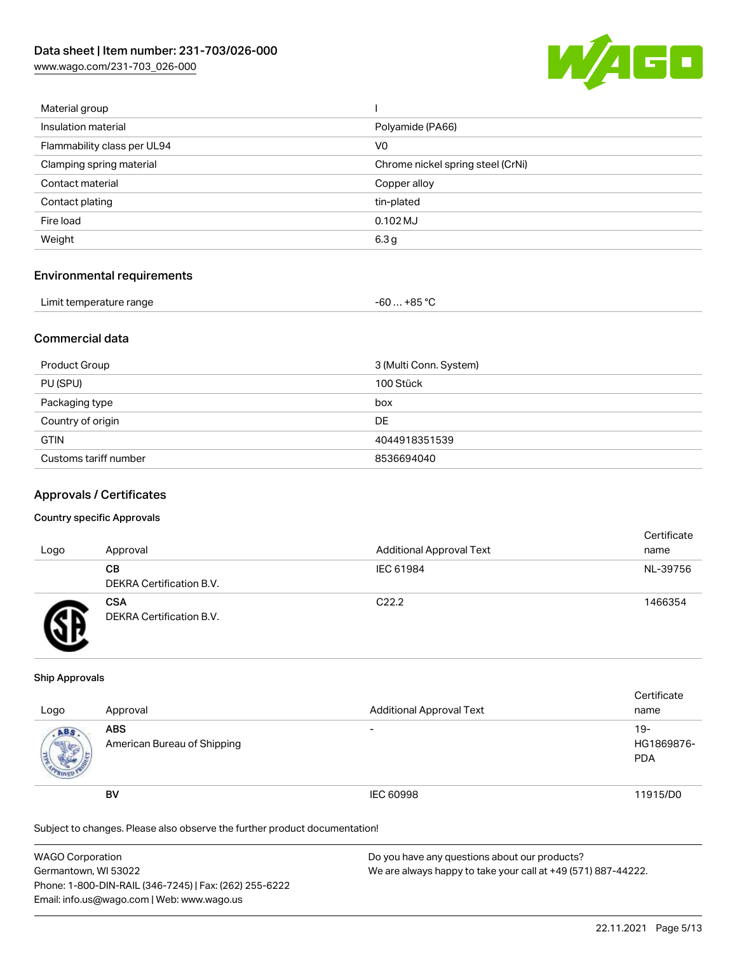[www.wago.com/231-703\\_026-000](http://www.wago.com/231-703_026-000)



| Material group              |                                   |
|-----------------------------|-----------------------------------|
| Insulation material         | Polyamide (PA66)                  |
| Flammability class per UL94 | V <sub>0</sub>                    |
| Clamping spring material    | Chrome nickel spring steel (CrNi) |
| Contact material            | Copper alloy                      |
| Contact plating             | tin-plated                        |
| Fire load                   | $0.102$ MJ                        |
| Weight                      | 6.3 <sub>g</sub>                  |
|                             |                                   |

#### Environmental requirements

| Limit temperature range | -60 … +85 ℃ |
|-------------------------|-------------|
|-------------------------|-------------|

#### Commercial data

| Product Group         | 3 (Multi Conn. System) |
|-----------------------|------------------------|
| PU (SPU)              | 100 Stück              |
| Packaging type        | box                    |
| Country of origin     | <b>DE</b>              |
| <b>GTIN</b>           | 4044918351539          |
| Customs tariff number | 8536694040             |

#### Approvals / Certificates

#### Country specific Approvals

| Logo | Approval                               | <b>Additional Approval Text</b> | Certificate<br>name |
|------|----------------------------------------|---------------------------------|---------------------|
|      | CВ<br>DEKRA Certification B.V.         | IEC 61984                       | NL-39756            |
|      | <b>CSA</b><br>DEKRA Certification B.V. | C <sub>22.2</sub>               | 1466354             |

#### Ship Approvals

| Logo | Approval                                  | <b>Additional Approval Text</b> | Certificate<br>name               |
|------|-------------------------------------------|---------------------------------|-----------------------------------|
| ABS  | <b>ABS</b><br>American Bureau of Shipping | $\overline{\phantom{0}}$        | $19-$<br>HG1869876-<br><b>PDA</b> |
|      | <b>BV</b>                                 | IEC 60998                       | 11915/D0                          |

Subject to changes. Please also observe the further product documentation!

| WAGO Corporation                                       | Do you have any questions about our products?                 |
|--------------------------------------------------------|---------------------------------------------------------------|
| Germantown, WI 53022                                   | We are always happy to take your call at +49 (571) 887-44222. |
| Phone: 1-800-DIN-RAIL (346-7245)   Fax: (262) 255-6222 |                                                               |
| Email: info.us@wago.com   Web: www.wago.us             |                                                               |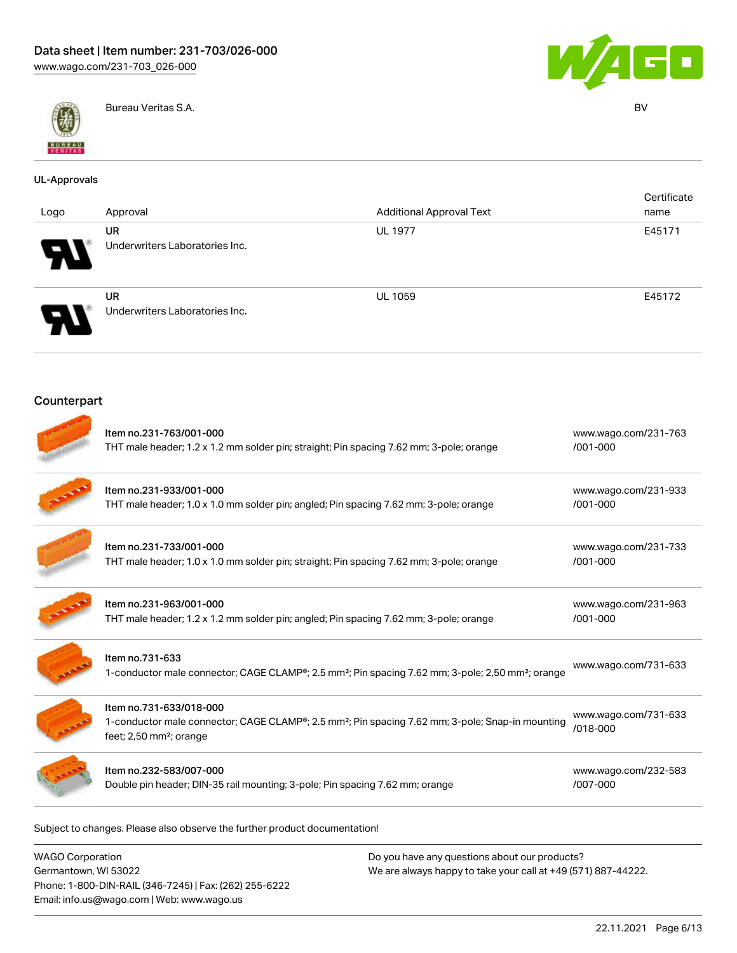



Bureau Veritas S.A. BV

| <b>UL-Approvals</b> |                                                                                                                    |                                                                                                                           |                                  |
|---------------------|--------------------------------------------------------------------------------------------------------------------|---------------------------------------------------------------------------------------------------------------------------|----------------------------------|
| Logo                | Approval                                                                                                           | <b>Additional Approval Text</b>                                                                                           | Certificate<br>name              |
|                     | <b>UR</b><br>Underwriters Laboratories Inc.                                                                        | <b>UL 1977</b>                                                                                                            | E45171                           |
|                     | <b>UR</b><br>Underwriters Laboratories Inc.                                                                        | <b>UL 1059</b>                                                                                                            | E45172                           |
| Counterpart         |                                                                                                                    |                                                                                                                           |                                  |
|                     | Item no.231-763/001-000<br>THT male header; 1.2 x 1.2 mm solder pin; straight; Pin spacing 7.62 mm; 3-pole; orange |                                                                                                                           | www.wago.com/231-763<br>/001-000 |
|                     | Item no.231-933/001-000<br>THT male header; 1.0 x 1.0 mm solder pin; angled; Pin spacing 7.62 mm; 3-pole; orange   |                                                                                                                           | www.wago.com/231-933<br>/001-000 |
|                     | Item no.231-733/001-000<br>THT male header; 1.0 x 1.0 mm solder pin; straight; Pin spacing 7.62 mm; 3-pole; orange |                                                                                                                           | www.wago.com/231-733<br>/001-000 |
|                     | Item no.231-963/001-000<br>THT male header; 1.2 x 1.2 mm solder pin; angled; Pin spacing 7.62 mm; 3-pole; orange   |                                                                                                                           | www.wago.com/231-963<br>/001-000 |
|                     | Item no.731-633                                                                                                    | 1-conductor male connector; CAGE CLAMP®; 2.5 mm <sup>2</sup> ; Pin spacing 7.62 mm; 3-pole; 2,50 mm <sup>2</sup> ; orange | www.wago.com/731-633             |
|                     | Item no.731-633/018-000<br>feet; 2,50 mm <sup>2</sup> ; orange                                                     | 1-conductor male connector; CAGE CLAMP®; 2.5 mm <sup>2</sup> ; Pin spacing 7.62 mm; 3-pole; Snap-in mounting              | www.wago.com/731-633<br>/018-000 |
|                     | Item no.232-583/007-000<br>Double pin header; DIN-35 rail mounting; 3-pole; Pin spacing 7.62 mm; orange            |                                                                                                                           | www.wago.com/232-583<br>/007-000 |
|                     |                                                                                                                    |                                                                                                                           |                                  |

Subject to changes. Please also observe the further product documentation!

| WAGO Corporation                                       | Do you have any questions about our products?                 |
|--------------------------------------------------------|---------------------------------------------------------------|
| Germantown, WI 53022                                   | We are always happy to take your call at +49 (571) 887-44222. |
| Phone: 1-800-DIN-RAIL (346-7245)   Fax: (262) 255-6222 |                                                               |
| Email: info.us@wago.com   Web: www.wago.us             |                                                               |

22.11.2021 Page 6/13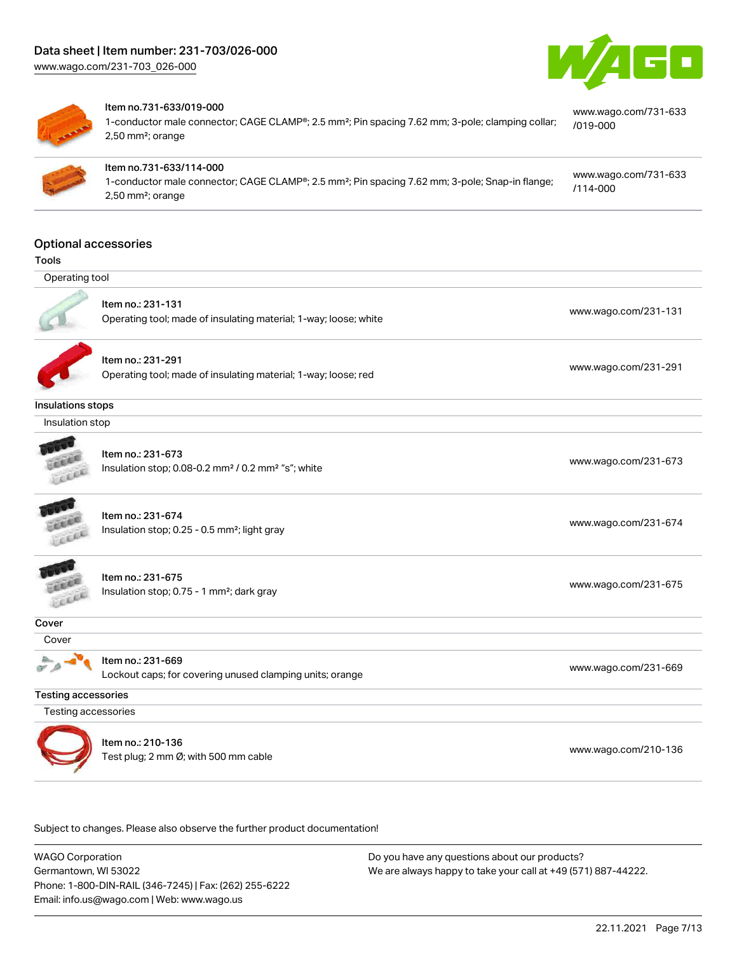



#### Item no.731-633/019-000

1-conductor male connector; CAGE CLAMP®; 2.5 mm²; Pin spacing 7.62 mm; 3-pole; clamping collar; 2,50 mm²; orange



#### Item no.731-633/114-000

1-conductor male connector; CAGE CLAMP®; 2.5 mm²; Pin spacing 7.62 mm; 3-pole; Snap-in flange; 2,50 mm²; orange

# [www.wago.com/731-633](https://www.wago.com/731-633/114-000)

[www.wago.com/731-633](https://www.wago.com/731-633/019-000)

[/019-000](https://www.wago.com/731-633/019-000)

[/114-000](https://www.wago.com/731-633/114-000)

Optional accessories

| <b>Tools</b>               |                                                                                                 |                      |
|----------------------------|-------------------------------------------------------------------------------------------------|----------------------|
| Operating tool             |                                                                                                 |                      |
|                            | Item no.: 231-131<br>Operating tool; made of insulating material; 1-way; loose; white           | www.wago.com/231-131 |
|                            | Item no.: 231-291<br>Operating tool; made of insulating material; 1-way; loose; red             | www.wago.com/231-291 |
| Insulations stops          |                                                                                                 |                      |
| Insulation stop            |                                                                                                 |                      |
| Leech                      | Item no.: 231-673<br>Insulation stop; 0.08-0.2 mm <sup>2</sup> / 0.2 mm <sup>2</sup> "s"; white | www.wago.com/231-673 |
| COLER                      | Item no.: 231-674<br>Insulation stop; 0.25 - 0.5 mm <sup>2</sup> ; light gray                   | www.wago.com/231-674 |
| LEEL                       | Item no.: 231-675<br>Insulation stop; 0.75 - 1 mm <sup>2</sup> ; dark gray                      | www.wago.com/231-675 |
| Cover                      |                                                                                                 |                      |
| Cover                      |                                                                                                 |                      |
|                            | Item no.: 231-669<br>Lockout caps; for covering unused clamping units; orange                   | www.wago.com/231-669 |
| <b>Testing accessories</b> |                                                                                                 |                      |
| Testing accessories        |                                                                                                 |                      |
|                            | Item no.: 210-136<br>Test plug; 2 mm Ø; with 500 mm cable                                       | www.wago.com/210-136 |

Subject to changes. Please also observe the further product documentation!

WAGO Corporation Germantown, WI 53022 Phone: 1-800-DIN-RAIL (346-7245) | Fax: (262) 255-6222 Email: info.us@wago.com | Web: www.wago.us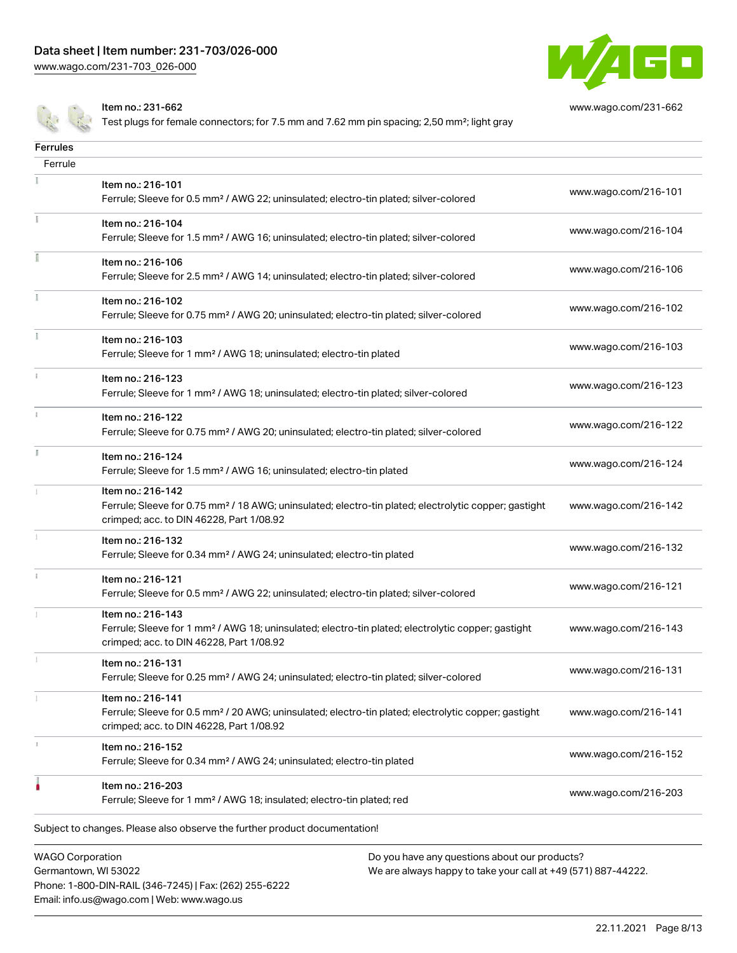Phone: 1-800-DIN-RAIL (346-7245) | Fax: (262) 255-6222

Email: info.us@wago.com | Web: www.wago.us



[www.wago.com/231-662](http://www.wago.com/231-662)

Item no.: 231-662

Test plugs for female connectors; for 7.5 mm and 7.62 mm pin spacing; 2,50 mm<sup>2</sup>; light gray

| <b>Ferrules</b>         |                                                                                                                                                                                    |                                                                                                                |                      |
|-------------------------|------------------------------------------------------------------------------------------------------------------------------------------------------------------------------------|----------------------------------------------------------------------------------------------------------------|----------------------|
| Ferrule                 |                                                                                                                                                                                    |                                                                                                                |                      |
|                         | Item no.: 216-101<br>Ferrule; Sleeve for 0.5 mm <sup>2</sup> / AWG 22; uninsulated; electro-tin plated; silver-colored                                                             |                                                                                                                | www.wago.com/216-101 |
|                         | Item no.: 216-104<br>Ferrule; Sleeve for 1.5 mm <sup>2</sup> / AWG 16; uninsulated; electro-tin plated; silver-colored                                                             |                                                                                                                | www.wago.com/216-104 |
|                         | Item no.: 216-106<br>Ferrule; Sleeve for 2.5 mm <sup>2</sup> / AWG 14; uninsulated; electro-tin plated; silver-colored                                                             |                                                                                                                | www.wago.com/216-106 |
|                         | Item no.: 216-102<br>Ferrule; Sleeve for 0.75 mm <sup>2</sup> / AWG 20; uninsulated; electro-tin plated; silver-colored                                                            |                                                                                                                | www.wago.com/216-102 |
|                         | Item no.: 216-103<br>Ferrule; Sleeve for 1 mm <sup>2</sup> / AWG 18; uninsulated; electro-tin plated                                                                               |                                                                                                                | www.wago.com/216-103 |
|                         | Item no.: 216-123<br>Ferrule; Sleeve for 1 mm <sup>2</sup> / AWG 18; uninsulated; electro-tin plated; silver-colored                                                               |                                                                                                                | www.wago.com/216-123 |
|                         | Item no.: 216-122<br>Ferrule; Sleeve for 0.75 mm <sup>2</sup> / AWG 20; uninsulated; electro-tin plated; silver-colored                                                            |                                                                                                                | www.wago.com/216-122 |
|                         | Item no.: 216-124<br>Ferrule; Sleeve for 1.5 mm <sup>2</sup> / AWG 16; uninsulated; electro-tin plated                                                                             |                                                                                                                | www.wago.com/216-124 |
|                         | Item no.: 216-142<br>Ferrule; Sleeve for 0.75 mm <sup>2</sup> / 18 AWG; uninsulated; electro-tin plated; electrolytic copper; gastight<br>crimped; acc. to DIN 46228, Part 1/08.92 |                                                                                                                | www.wago.com/216-142 |
|                         | Item no.: 216-132<br>Ferrule; Sleeve for 0.34 mm <sup>2</sup> / AWG 24; uninsulated; electro-tin plated                                                                            |                                                                                                                | www.wago.com/216-132 |
|                         | Item no.: 216-121<br>Ferrule; Sleeve for 0.5 mm <sup>2</sup> / AWG 22; uninsulated; electro-tin plated; silver-colored                                                             |                                                                                                                | www.wago.com/216-121 |
|                         | Item no.: 216-143<br>Ferrule; Sleeve for 1 mm <sup>2</sup> / AWG 18; uninsulated; electro-tin plated; electrolytic copper; gastight<br>crimped; acc. to DIN 46228, Part 1/08.92    |                                                                                                                | www.wago.com/216-143 |
|                         | Item no.: 216-131<br>Ferrule; Sleeve for 0.25 mm <sup>2</sup> / AWG 24; uninsulated; electro-tin plated; silver-colored                                                            |                                                                                                                | www.wago.com/216-131 |
|                         | Item no.: 216-141<br>Ferrule; Sleeve for 0.5 mm <sup>2</sup> / 20 AWG; uninsulated; electro-tin plated; electrolytic copper; gastight<br>crimped; acc. to DIN 46228, Part 1/08.92  |                                                                                                                | www.wago.com/216-141 |
|                         | Item no.: 216-152<br>Ferrule; Sleeve for 0.34 mm <sup>2</sup> / AWG 24; uninsulated; electro-tin plated                                                                            |                                                                                                                | www.wago.com/216-152 |
|                         | Item no.: 216-203<br>Ferrule; Sleeve for 1 mm <sup>2</sup> / AWG 18; insulated; electro-tin plated; red                                                                            |                                                                                                                | www.wago.com/216-203 |
|                         | Subject to changes. Please also observe the further product documentation!                                                                                                         |                                                                                                                |                      |
| <b>WAGO Corporation</b> | Germantown, WI 53022                                                                                                                                                               | Do you have any questions about our products?<br>We are always happy to take your call at +49 (571) 887-44222. |                      |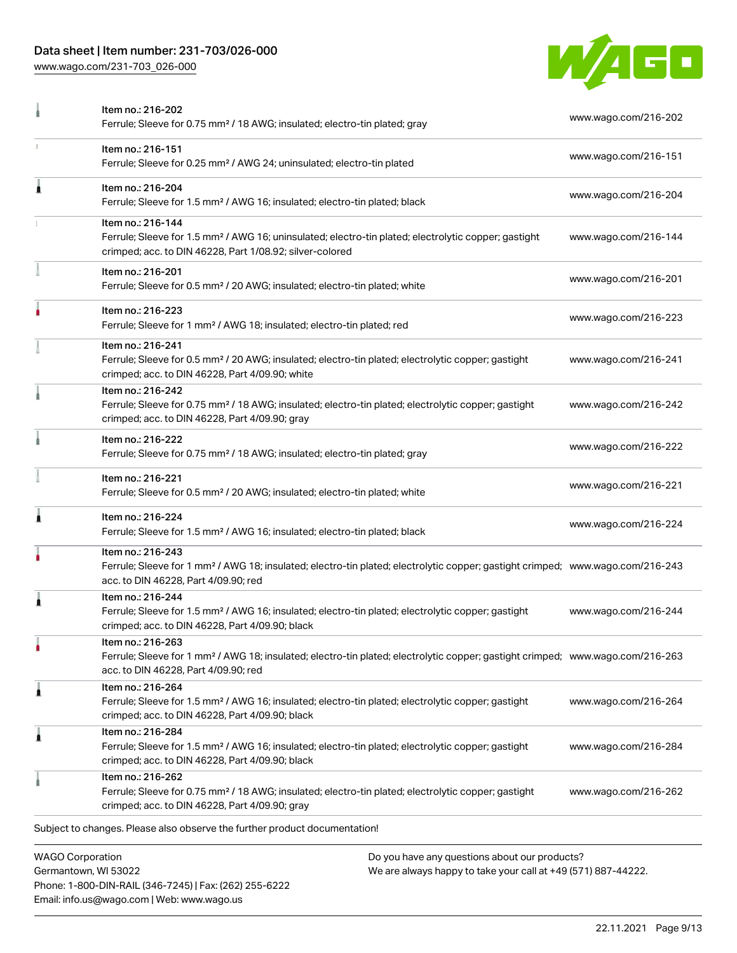#### Data sheet | Item number: 231-703/026-000

Phone: 1-800-DIN-RAIL (346-7245) | Fax: (262) 255-6222

Email: info.us@wago.com | Web: www.wago.us

[www.wago.com/231-703\\_026-000](http://www.wago.com/231-703_026-000)



|   | Item no.: 216-202<br>Ferrule; Sleeve for 0.75 mm <sup>2</sup> / 18 AWG; insulated; electro-tin plated; gray                                                                                             |                                                                                                                | www.wago.com/216-202 |
|---|---------------------------------------------------------------------------------------------------------------------------------------------------------------------------------------------------------|----------------------------------------------------------------------------------------------------------------|----------------------|
|   | Item no.: 216-151<br>Ferrule; Sleeve for 0.25 mm <sup>2</sup> / AWG 24; uninsulated; electro-tin plated                                                                                                 |                                                                                                                | www.wago.com/216-151 |
| Ă | Item no.: 216-204<br>Ferrule; Sleeve for 1.5 mm <sup>2</sup> / AWG 16; insulated; electro-tin plated; black                                                                                             |                                                                                                                | www.wago.com/216-204 |
|   | Item no.: 216-144<br>Ferrule; Sleeve for 1.5 mm <sup>2</sup> / AWG 16; uninsulated; electro-tin plated; electrolytic copper; gastight<br>crimped; acc. to DIN 46228, Part 1/08.92; silver-colored       |                                                                                                                | www.wago.com/216-144 |
|   | Item no.: 216-201<br>Ferrule; Sleeve for 0.5 mm <sup>2</sup> / 20 AWG; insulated; electro-tin plated; white                                                                                             |                                                                                                                | www.wago.com/216-201 |
|   | Item no.: 216-223<br>Ferrule; Sleeve for 1 mm <sup>2</sup> / AWG 18; insulated; electro-tin plated; red                                                                                                 |                                                                                                                | www.wago.com/216-223 |
|   | Item no.: 216-241<br>Ferrule; Sleeve for 0.5 mm <sup>2</sup> / 20 AWG; insulated; electro-tin plated; electrolytic copper; gastight<br>crimped; acc. to DIN 46228, Part 4/09.90; white                  |                                                                                                                | www.wago.com/216-241 |
|   | Item no.: 216-242<br>Ferrule; Sleeve for 0.75 mm <sup>2</sup> / 18 AWG; insulated; electro-tin plated; electrolytic copper; gastight<br>crimped; acc. to DIN 46228, Part 4/09.90; gray                  |                                                                                                                | www.wago.com/216-242 |
|   | Item no.: 216-222<br>Ferrule; Sleeve for 0.75 mm <sup>2</sup> / 18 AWG; insulated; electro-tin plated; gray                                                                                             |                                                                                                                | www.wago.com/216-222 |
|   | Item no.: 216-221<br>Ferrule; Sleeve for 0.5 mm <sup>2</sup> / 20 AWG; insulated; electro-tin plated; white                                                                                             |                                                                                                                | www.wago.com/216-221 |
|   | Item no.: 216-224<br>Ferrule; Sleeve for 1.5 mm <sup>2</sup> / AWG 16; insulated; electro-tin plated; black                                                                                             |                                                                                                                | www.wago.com/216-224 |
|   | Item no.: 216-243<br>Ferrule; Sleeve for 1 mm <sup>2</sup> / AWG 18; insulated; electro-tin plated; electrolytic copper; gastight crimped; www.wago.com/216-243<br>acc. to DIN 46228, Part 4/09.90; red |                                                                                                                |                      |
|   | Item no.: 216-244<br>Ferrule; Sleeve for 1.5 mm <sup>2</sup> / AWG 16; insulated; electro-tin plated; electrolytic copper; gastight<br>crimped; acc. to DIN 46228, Part 4/09.90; black                  |                                                                                                                | www.wago.com/216-244 |
| ٠ | Item no.: 216-263<br>Ferrule; Sleeve for 1 mm <sup>2</sup> / AWG 18; insulated; electro-tin plated; electrolytic copper; gastight crimped; www.wago.com/216-263<br>acc. to DIN 46228, Part 4/09.90; red |                                                                                                                |                      |
| Â | Item no.: 216-264<br>Ferrule; Sleeve for 1.5 mm <sup>2</sup> / AWG 16; insulated; electro-tin plated; electrolytic copper; gastight<br>crimped; acc. to DIN 46228, Part 4/09.90; black                  |                                                                                                                | www.wago.com/216-264 |
| Â | Item no.: 216-284<br>Ferrule; Sleeve for 1.5 mm <sup>2</sup> / AWG 16; insulated; electro-tin plated; electrolytic copper; gastight<br>crimped; acc. to DIN 46228, Part 4/09.90; black                  |                                                                                                                | www.wago.com/216-284 |
|   | Item no.: 216-262<br>Ferrule; Sleeve for 0.75 mm <sup>2</sup> / 18 AWG; insulated; electro-tin plated; electrolytic copper; gastight<br>crimped; acc. to DIN 46228, Part 4/09.90; gray                  |                                                                                                                | www.wago.com/216-262 |
|   | Subject to changes. Please also observe the further product documentation!                                                                                                                              |                                                                                                                |                      |
|   | <b>WAGO Corporation</b><br>Germantown, WI 53022                                                                                                                                                         | Do you have any questions about our products?<br>We are always happy to take your call at +49 (571) 887-44222. |                      |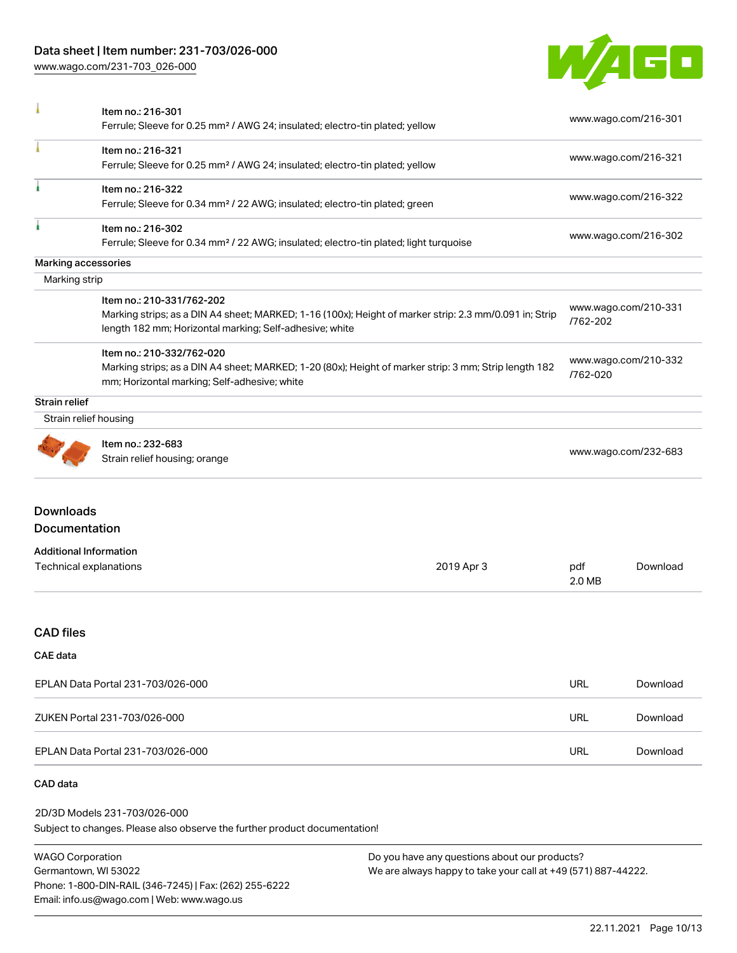[www.wago.com/231-703\\_026-000](http://www.wago.com/231-703_026-000)



|                                                         | Item no.: 216-301<br>Ferrule; Sleeve for 0.25 mm <sup>2</sup> / AWG 24; insulated; electro-tin plated; yellow                                                                      |            |               | www.wago.com/216-301 |
|---------------------------------------------------------|------------------------------------------------------------------------------------------------------------------------------------------------------------------------------------|------------|---------------|----------------------|
|                                                         | Item no.: 216-321<br>Ferrule; Sleeve for 0.25 mm <sup>2</sup> / AWG 24; insulated; electro-tin plated; yellow                                                                      |            |               | www.wago.com/216-321 |
|                                                         | Item no.: 216-322<br>Ferrule; Sleeve for 0.34 mm <sup>2</sup> / 22 AWG; insulated; electro-tin plated; green                                                                       |            |               | www.wago.com/216-322 |
|                                                         | Item no.: 216-302<br>Ferrule; Sleeve for 0.34 mm <sup>2</sup> / 22 AWG; insulated; electro-tin plated; light turquoise                                                             |            |               | www.wago.com/216-302 |
| Marking accessories                                     |                                                                                                                                                                                    |            |               |                      |
| Marking strip                                           |                                                                                                                                                                                    |            |               |                      |
|                                                         | Item no.: 210-331/762-202                                                                                                                                                          |            |               |                      |
|                                                         | Marking strips; as a DIN A4 sheet; MARKED; 1-16 (100x); Height of marker strip: 2.3 mm/0.091 in; Strip<br>length 182 mm; Horizontal marking; Self-adhesive; white                  |            | /762-202      | www.wago.com/210-331 |
|                                                         | Item no.: 210-332/762-020<br>Marking strips; as a DIN A4 sheet; MARKED; 1-20 (80x); Height of marker strip: 3 mm; Strip length 182<br>mm; Horizontal marking; Self-adhesive; white |            | /762-020      | www.wago.com/210-332 |
| <b>Strain relief</b>                                    |                                                                                                                                                                                    |            |               |                      |
| Strain relief housing                                   |                                                                                                                                                                                    |            |               |                      |
|                                                         | Item no.: 232-683<br>Strain relief housing; orange                                                                                                                                 |            |               | www.wago.com/232-683 |
| <b>Downloads</b>                                        |                                                                                                                                                                                    |            |               |                      |
| Documentation                                           |                                                                                                                                                                                    |            |               |                      |
| <b>Additional Information</b><br>Technical explanations |                                                                                                                                                                                    | 2019 Apr 3 | pdf<br>2.0 MB | Download             |
| <b>CAD files</b>                                        |                                                                                                                                                                                    |            |               |                      |
| <b>CAE</b> data                                         |                                                                                                                                                                                    |            |               |                      |
|                                                         | EPLAN Data Portal 231-703/026-000                                                                                                                                                  |            | <b>URL</b>    | Download             |
|                                                         | ZUKEN Portal 231-703/026-000                                                                                                                                                       |            | URL           | Download             |
|                                                         | EPLAN Data Portal 231-703/026-000                                                                                                                                                  |            | <b>URL</b>    | Download             |
| CAD data                                                |                                                                                                                                                                                    |            |               |                      |

#### Subject to changes. Please also observe the further product documentation! 2D/3D Models 231-703/026-000

WAGO Corporation Germantown, WI 53022 Phone: 1-800-DIN-RAIL (346-7245) | Fax: (262) 255-6222 Email: info.us@wago.com | Web: www.wago.us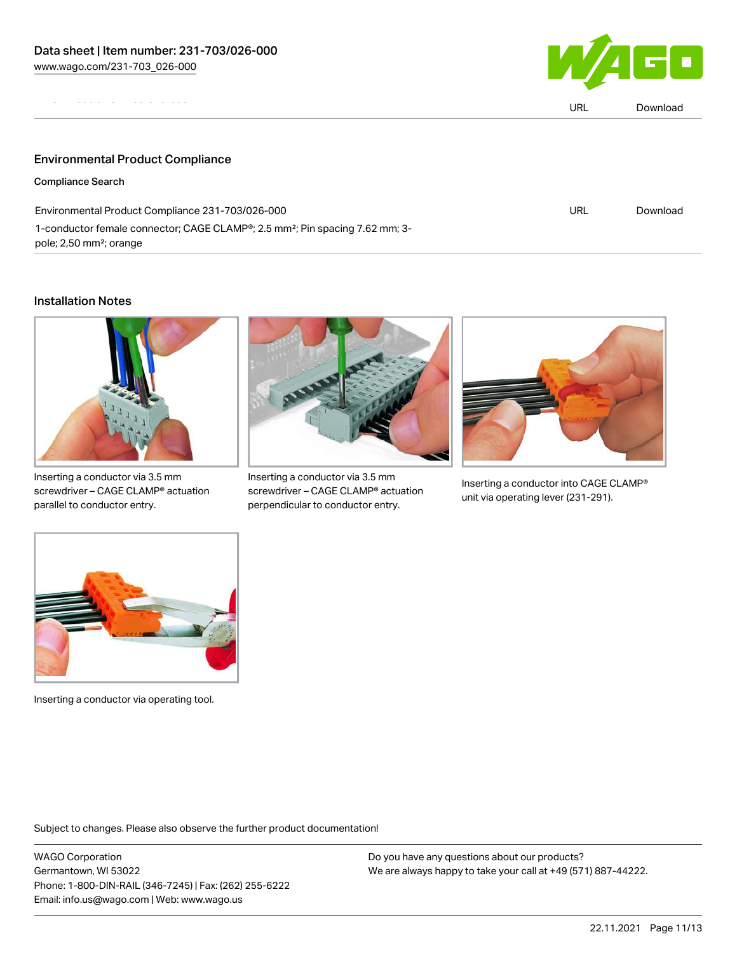

|                                                                                                                                              | URL | Download |
|----------------------------------------------------------------------------------------------------------------------------------------------|-----|----------|
|                                                                                                                                              |     |          |
| <b>Environmental Product Compliance</b>                                                                                                      |     |          |
| <b>Compliance Search</b>                                                                                                                     |     |          |
| Environmental Product Compliance 231-703/026-000                                                                                             | URL | Download |
| 1-conductor female connector; CAGE CLAMP <sup>®</sup> ; 2.5 mm <sup>2</sup> ; Pin spacing 7.62 mm; 3-<br>pole; 2,50 mm <sup>2</sup> ; orange |     |          |

#### Installation Notes



Inserting a conductor via 3.5 mm screwdriver – CAGE CLAMP® actuation parallel to conductor entry.



Inserting a conductor via 3.5 mm screwdriver – CAGE CLAMP® actuation perpendicular to conductor entry.



Inserting a conductor into CAGE CLAMP® unit via operating lever (231-291).



Inserting a conductor via operating tool.

Subject to changes. Please also observe the further product documentation!

WAGO Corporation Germantown, WI 53022 Phone: 1-800-DIN-RAIL (346-7245) | Fax: (262) 255-6222 Email: info.us@wago.com | Web: www.wago.us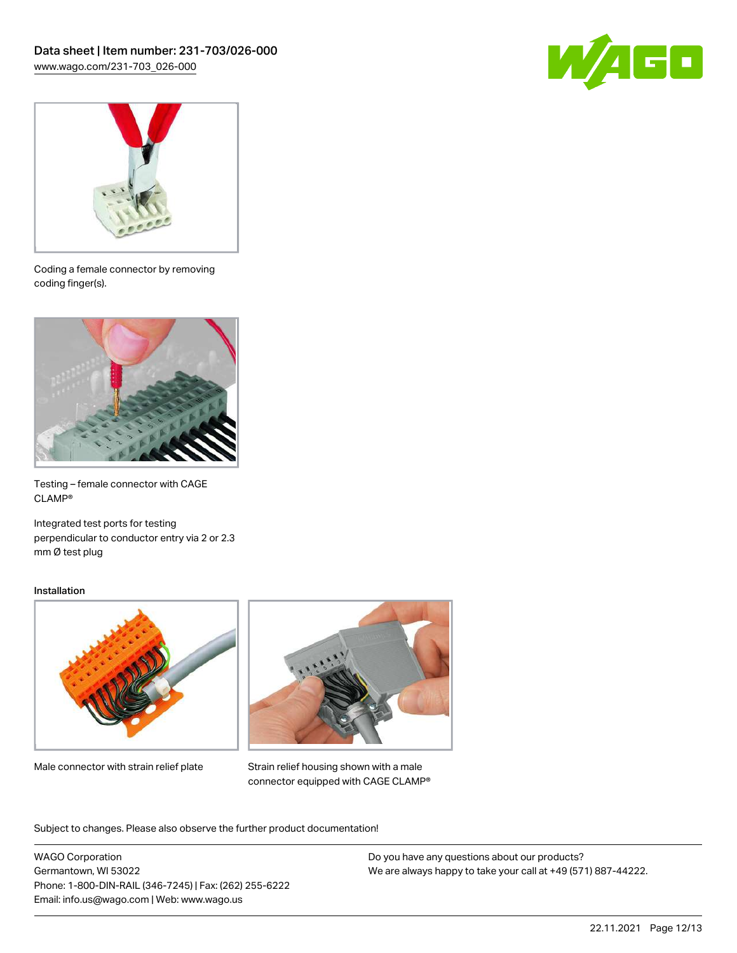



Coding a female connector by removing coding finger(s).



Testing – female connector with CAGE CLAMP®

Integrated test ports for testing perpendicular to conductor entry via 2 or 2.3 mm Ø test plug

#### Installation



Male connector with strain relief plate



Strain relief housing shown with a male connector equipped with CAGE CLAMP®

Subject to changes. Please also observe the further product documentation!

WAGO Corporation Germantown, WI 53022 Phone: 1-800-DIN-RAIL (346-7245) | Fax: (262) 255-6222 Email: info.us@wago.com | Web: www.wago.us